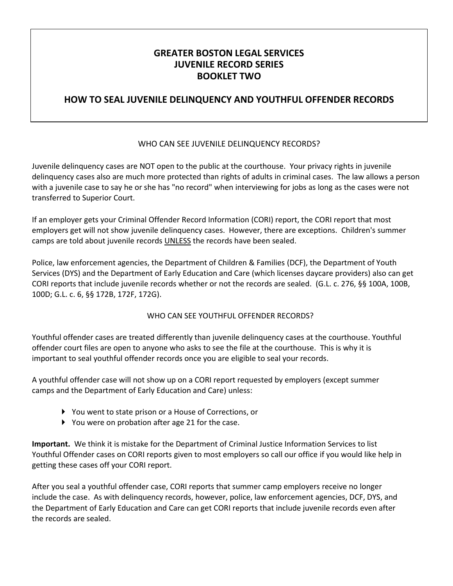# **GREATER BOSTON LEGAL SERVICES JUVENILE RECORD SERIES BOOKLET TWO**

## **HOW TO SEAL JUVENILE DELINQUENCY AND YOUTHFUL OFFENDER RECORDS**

## WHO CAN SEE JUVENILE DELINQUENCY RECORDS?

Juvenile delinquency cases are NOT open to the public at the courthouse. Your privacy rights in juvenile delinquency cases also are much more protected than rights of adults in criminal cases. The law allows a person with a juvenile case to say he or she has "no record" when interviewing for jobs as long as the cases were not transferred to Superior Court.

If an employer gets your Criminal Offender Record Information (CORI) report, the CORI report that most employers get will not show juvenile delinquency cases. However, there are exceptions. Children's summer camps are told about juvenile records UNLESS the records have been sealed.

Police, law enforcement agencies, the Department of Children & Families (DCF), the Department of Youth Services (DYS) and the Department of Early Education and Care (which licenses daycare providers) also can get CORI reports that include juvenile records whether or not the records are sealed. (G.L. c. 276, §§ 100A, 100B, 100D; G.L. c. 6, §§ 172B, 172F, 172G).

## WHO CAN SEE YOUTHFUL OFFENDER RECORDS?

Youthful offender cases are treated differently than juvenile delinquency cases at the courthouse. Youthful offender court files are open to anyone who asks to see the file at the courthouse. This is why it is important to seal youthful offender records once you are eligible to seal your records.

A youthful offender case will not show up on a CORI report requested by employers (except summer camps and the Department of Early Education and Care) unless:

- You went to state prison or a House of Corrections, or
- ▶ You were on probation after age 21 for the case.

**Important.** We think it is mistake for the Department of Criminal Justice Information Services to list Youthful Offender cases on CORI reports given to most employers so call our office if you would like help in getting these cases off your CORI report.

After you seal a youthful offender case, CORI reports that summer camp employers receive no longer include the case. As with delinquency records, however, police, law enforcement agencies, DCF, DYS, and the Department of Early Education and Care can get CORI reports that include juvenile records even after the records are sealed.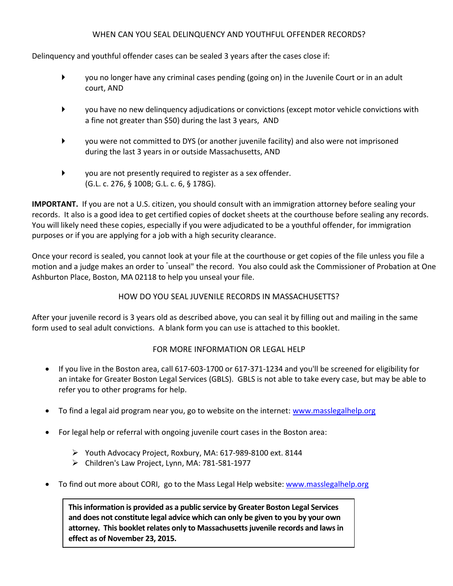## WHEN CAN YOU SEAL DELINQUENCY AND YOUTHFUL OFFENDER RECORDS?

Delinquency and youthful offender cases can be sealed 3 years after the cases close if:

- you no longer have any criminal cases pending (going on) in the Juvenile Court or in an adult court, AND
- you have no new delinquency adjudications or convictions (except motor vehicle convictions with a fine not greater than \$50) during the last 3 years, AND
- you were not committed to DYS (or another juvenile facility) and also were not imprisoned during the last 3 years in or outside Massachusetts, AND
- you are not presently required to register as a sex offender. (G.L. c. 276, § 100B; G.L. c. 6, § 178G).

**IMPORTANT.** If you are not a U.S. citizen, you should consult with an immigration attorney before sealing your records. It also is a good idea to get certified copies of docket sheets at the courthouse before sealing any records. You will likely need these copies, especially if you were adjudicated to be a youthful offender, for immigration purposes or if you are applying for a job with a high security clearance.

Once your record is sealed, you cannot look at your file at the courthouse or get copies of the file unless you file a motion and a judge makes an order to "unseal" the record. You also could ask the Commissioner of Probation at One Ashburton Place, Boston, MA 02118 to help you unseal your file.

## HOW DO YOU SEAL JUVENILE RECORDS IN MASSACHUSETTS?

After your juvenile record is 3 years old as described above, you can seal it by filling out and mailing in the same form used to seal adult convictions. A blank form you can use is attached to this booklet.

## FOR MORE INFORMATION OR LEGAL HELP

- If you live in the Boston area, call 617-603-1700 or 617-371-1234 and you'll be screened for eligibility for an intake for Greater Boston Legal Services (GBLS). GBLS is not able to take every case, but may be able to refer you to other programs for help.
- To find a legal aid program near you, go to website on the internet: [www.masslegalhelp.org](http://www.masslegalhelp.org/)
- For legal help or referral with ongoing juvenile court cases in the Boston area:
	- Youth Advocacy Project, Roxbury, MA: 617-989-8100 ext. 8144
	- Children's Law Project, Lynn, MA: 781-581-1977
- To find out more about CORI, go to the Mass Legal Help website[: www.masslegalhelp.org](http://www.masslegalhelp.org/)

**This information is provided as a public service by Greater Boston Legal Services and does not constitute legal advice which can only be given to you by your own attorney. This booklet relates only to Massachusetts juvenile records and laws in effect as of November 23, 2015.**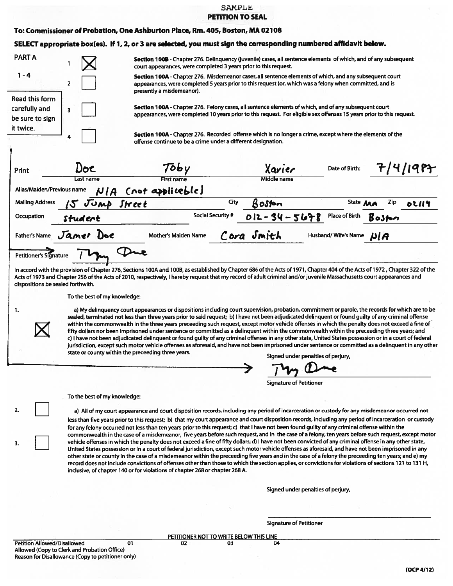## **SAMPLE PETITION TO SEAL**

| To: Commissioner of Probation, One Ashburton Place, Rm. 405, Boston, MA 02108                                     |
|-------------------------------------------------------------------------------------------------------------------|
| SELECT appropriate box(es). If 1, 2, or 3 are selected, you must sign the corresponding numbered affidavit below. |
|                                                                                                                   |

| <b>PART A</b>                                                   |           | Section 100B - Chapter 276. Delinquency (juvenile) cases, all sentence elements of which, and of any subsequent<br>court appearances, were completed 3 years prior to this request.                                                              |                                                                                                           |                       |            |             |  |  |  |
|-----------------------------------------------------------------|-----------|--------------------------------------------------------------------------------------------------------------------------------------------------------------------------------------------------------------------------------------------------|-----------------------------------------------------------------------------------------------------------|-----------------------|------------|-------------|--|--|--|
| $1 - 4$                                                         | 2         | Section 100A - Chapter 276. Misdemeanor cases, all sentence elements of which, and any subsequent court<br>appearances, were completed 5 years prior to this request (or, which was a felony when committed, and is<br>presently a misdemeanor). |                                                                                                           |                       |            |             |  |  |  |
| Read this form<br>carefully and<br>be sure to sign<br>it twice. | з         | Section 100A - Chapter 276. Felony cases, all sentence elements of which, and of any subsequent court<br>appearances, were completed 10 years prior to this request. For eligible sex offenses 15 years prior to this request.                   |                                                                                                           |                       |            |             |  |  |  |
|                                                                 |           | offense continue to be a crime under a different designation.                                                                                                                                                                                    | Section 100A - Chapter 276. Recorded offense which is no longer a crime, except where the elements of the |                       |            |             |  |  |  |
| Print                                                           | Doc       | Toby                                                                                                                                                                                                                                             | Xarier                                                                                                    | Date of Birth:        |            | $7/4/19$ PT |  |  |  |
|                                                                 | Last name | <b>First name</b>                                                                                                                                                                                                                                | Middle name                                                                                               |                       |            |             |  |  |  |
| Alias/Maiden/Previous name                                      | N/A       | (not appliceble)                                                                                                                                                                                                                                 |                                                                                                           |                       |            |             |  |  |  |
|                                                                 |           |                                                                                                                                                                                                                                                  |                                                                                                           |                       |            |             |  |  |  |
| <b>Mailing Address</b>                                          | JUMP      | Street                                                                                                                                                                                                                                           | City<br>Boston                                                                                            | State MA              | Zip        | ひとハイ        |  |  |  |
| Occupation                                                      | student   |                                                                                                                                                                                                                                                  | <b>Social Security #</b><br>012-34-5678                                                                   | <b>Place of Birth</b> | Boshn      |             |  |  |  |
| <b>Father's Name</b>                                            | Jamer Doe | <b>Mother's Maiden Name</b>                                                                                                                                                                                                                      | Cora Smith                                                                                                | Husband/Wife's Name   | <b>PIA</b> |             |  |  |  |

In accord with the provision of Chapter 276, Sections 100A and 100B, as established by Chapter 686 of the Acts of 1971, Chapter 404 of the Acts of 1972, Chapter 322 of the Acts of 1973 and Chapter 256 of the Acts of 2010, respectively, I hereby request that my record of adult criminal and/or juvenile Massachusetts court appearances and dispositions be sealed forthwith.

To the best of my knowledge:

 $\mathbf{1}$ 

a) My delinquency court appearances or dispositions including court supervision, probation, commitment or parole, the records for which are to be sealed, terminated not less than three years prior to said request; b) I have not been adjudicated delinquent or found guilty of any criminal offense within the commonwealth in the three years preceeding such request, except motor vehicle offenses in which the penalty does not exceed a fine of fifty dollars nor been imprisoned under sentence or committed as a delinquent within the commonwealth within the preceeding three years; and c) I have not been adjudicated delinquent or found guilty of any criminal offenses in any other state, United States possession or in a court of federal jurisdiction, except such motor vehicle offenses as aforesaid, and have not been imprisoned under sentence or committed as a delinquent in any other state or county within the preceeding three years.

Signed under penalties of perjury,

**Signature of Petitioner** 

To the best of my knowledge:

a) All of my court appearance and court disposition records, including any period of incarceration or custody for any misdemeanor occurred not less than five years prior to this request; b) that my court appearance and court disposition records, including any period of incarceration or custody for any felony occurred not less than ten years prior to this request; c) that I have not been found guilty of any criminal offense within the commonwealth in the case of a misdemeanor, five years before such request, and in the case of a felony, ten years before such request, except motor vehicle offenses in which the penalty does not exceed a fine of fifty dollars; d) I have not been convicted of any criminal offense in any other state, United States possession or in a court of federal jurisdiction, except such motor vehicle offenses as aforesaid, and have not been imprisoned in any other state or county in the case of a misdemeanor within the preceeding five years and in the case of a felony the preceeding ten years; and e) my record does not include convictions of offenses other than those to which the section applies, or convictions for violations of sections 121 to 131 H, inclusive, of chapter 140 or for violations of chapter 268 or chapter 268 A.

Signed under penalties of perjury,

**Signature of Petitioner** 

PETITIONER NOT TO WRITE BELOW THIS LINE

02 03 04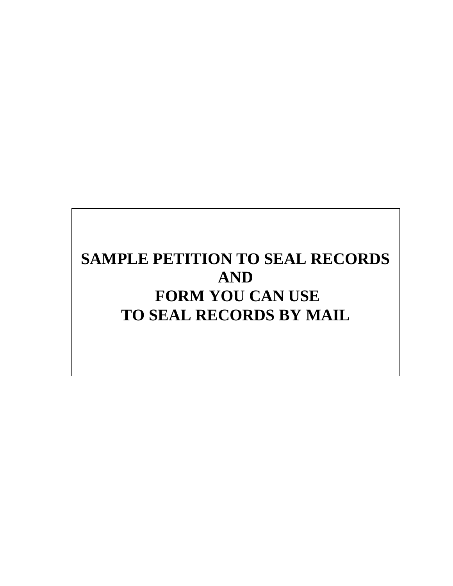# **SAMPLE PETITION TO SEAL RECORDS AND FORM YOU CAN USE TO SEAL RECORDS BY MAIL**